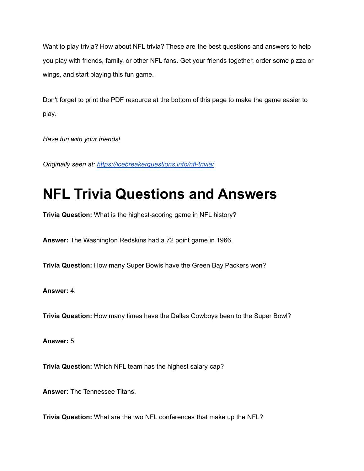Want to play trivia? How about NFL trivia? These are the best questions and answers to help you play with friends, family, or other NFL fans. Get your friends together, order some pizza or wings, and start playing this fun game.

Don't forget to print the PDF resource at the bottom of this page to make the game easier to play.

*Have fun with your friends!*

*Originally seen at: <https://icebreakerquestions.info/nfl-trivia/>*

## **NFL Trivia Questions and Answers**

**Trivia Question:** What is the highest-scoring game in NFL history?

**Answer:** The Washington Redskins had a 72 point game in 1966.

**Trivia Question:** How many Super Bowls have the Green Bay Packers won?

**Answer:** 4.

**Trivia Question:** How many times have the Dallas Cowboys been to the Super Bowl?

**Answer:** 5.

**Trivia Question:** Which NFL team has the highest salary cap?

**Answer:** The Tennessee Titans.

**Trivia Question:** What are the two NFL conferences that make up the NFL?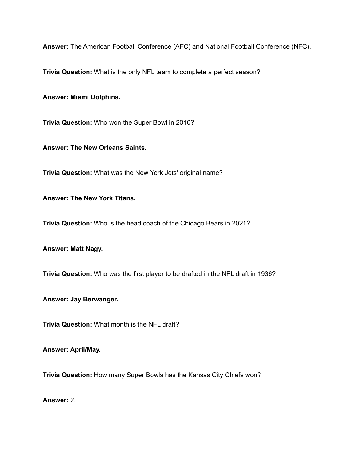**Answer:** The American Football Conference (AFC) and National Football Conference (NFC).

**Trivia Question:** What is the only NFL team to complete a perfect season?

**Answer: Miami Dolphins.**

**Trivia Question:** Who won the Super Bowl in 2010?

**Answer: The New Orleans Saints.**

**Trivia Question:** What was the New York Jets' original name?

**Answer: The New York Titans.**

**Trivia Question:** Who is the head coach of the Chicago Bears in 2021?

**Answer: Matt Nagy.**

**Trivia Question:** Who was the first player to be drafted in the NFL draft in 1936?

**Answer: Jay Berwanger.**

**Trivia Question:** What month is the NFL draft?

**Answer: April/May.**

**Trivia Question:** How many Super Bowls has the Kansas City Chiefs won?

**Answer:** 2.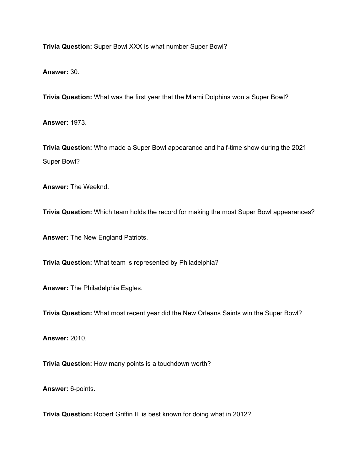**Trivia Question:** Super Bowl XXX is what number Super Bowl?

**Answer:** 30.

**Trivia Question:** What was the first year that the Miami Dolphins won a Super Bowl?

**Answer:** 1973.

**Trivia Question:** Who made a Super Bowl appearance and half-time show during the 2021 Super Bowl?

**Answer:** The Weeknd.

**Trivia Question:** Which team holds the record for making the most Super Bowl appearances?

**Answer:** The New England Patriots.

**Trivia Question:** What team is represented by Philadelphia?

**Answer:** The Philadelphia Eagles.

**Trivia Question:** What most recent year did the New Orleans Saints win the Super Bowl?

**Answer:** 2010.

**Trivia Question:** How many points is a touchdown worth?

**Answer:** 6-points.

**Trivia Question:** Robert Griffin III is best known for doing what in 2012?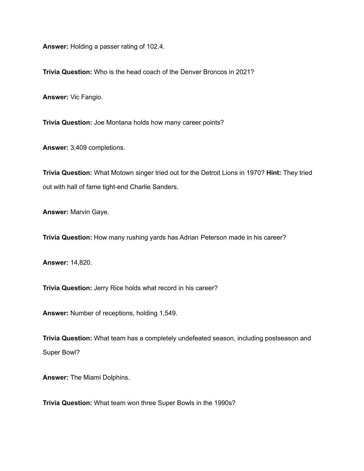**Answer:** Holding a passer rating of 102.4.

**Trivia Question:** Who is the head coach of the Denver Broncos in 2021?

**Answer:** Vic Fangio.

**Trivia Question:** Joe Montana holds how many career points?

**Answer:** 3,409 completions.

**Trivia Question:** What Motown singer tried out for the Detroit Lions in 1970? **Hint:** They tried out with hall of fame tight-end Charlie Sanders.

**Answer:** Marvin Gaye.

**Trivia Question:** How many rushing yards has Adrian Peterson made in his career?

**Answer:** 14,820.

**Trivia Question:** Jerry Rice holds what record in his career?

**Answer:** Number of receptions, holding 1,549.

**Trivia Question:** What team has a completely undefeated season, including postseason and Super Bowl?

**Answer:** The Miami Dolphins.

**Trivia Question:** What team won three Super Bowls in the 1990s?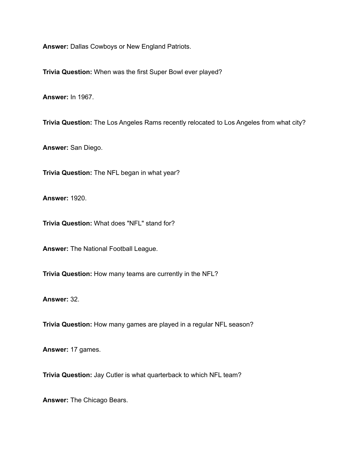**Answer:** Dallas Cowboys or New England Patriots.

**Trivia Question:** When was the first Super Bowl ever played?

**Answer:** In 1967.

**Trivia Question:** The Los Angeles Rams recently relocated to Los Angeles from what city?

**Answer:** San Diego.

**Trivia Question:** The NFL began in what year?

**Answer:** 1920.

**Trivia Question:** What does "NFL" stand for?

**Answer:** The National Football League.

**Trivia Question:** How many teams are currently in the NFL?

**Answer:** 32.

**Trivia Question:** How many games are played in a regular NFL season?

**Answer:** 17 games.

**Trivia Question:** Jay Cutler is what quarterback to which NFL team?

**Answer:** The Chicago Bears.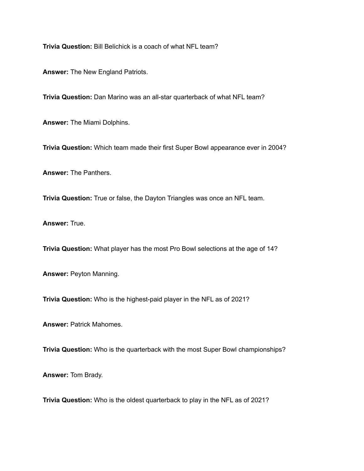**Trivia Question:** Bill Belichick is a coach of what NFL team?

**Answer:** The New England Patriots.

**Trivia Question:** Dan Marino was an all-star quarterback of what NFL team?

**Answer:** The Miami Dolphins.

**Trivia Question:** Which team made their first Super Bowl appearance ever in 2004?

**Answer:** The Panthers.

**Trivia Question:** True or false, the Dayton Triangles was once an NFL team.

**Answer:** True.

**Trivia Question:** What player has the most Pro Bowl selections at the age of 14?

**Answer:** Peyton Manning.

**Trivia Question:** Who is the highest-paid player in the NFL as of 2021?

**Answer:** Patrick Mahomes.

**Trivia Question:** Who is the quarterback with the most Super Bowl championships?

**Answer:** Tom Brady.

**Trivia Question:** Who is the oldest quarterback to play in the NFL as of 2021?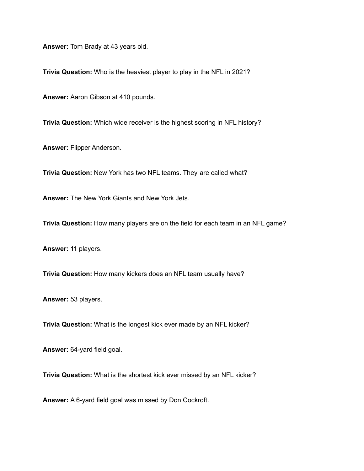**Answer:** Tom Brady at 43 years old.

**Trivia Question:** Who is the heaviest player to play in the NFL in 2021?

**Answer:** Aaron Gibson at 410 pounds.

**Trivia Question:** Which wide receiver is the highest scoring in NFL history?

**Answer:** Flipper Anderson.

**Trivia Question:** New York has two NFL teams. They are called what?

**Answer:** The New York Giants and New York Jets.

**Trivia Question:** How many players are on the field for each team in an NFL game?

**Answer:** 11 players.

**Trivia Question:** How many kickers does an NFL team usually have?

**Answer:** 53 players.

**Trivia Question:** What is the longest kick ever made by an NFL kicker?

**Answer:** 64-yard field goal.

**Trivia Question:** What is the shortest kick ever missed by an NFL kicker?

**Answer:** A 6-yard field goal was missed by Don Cockroft.